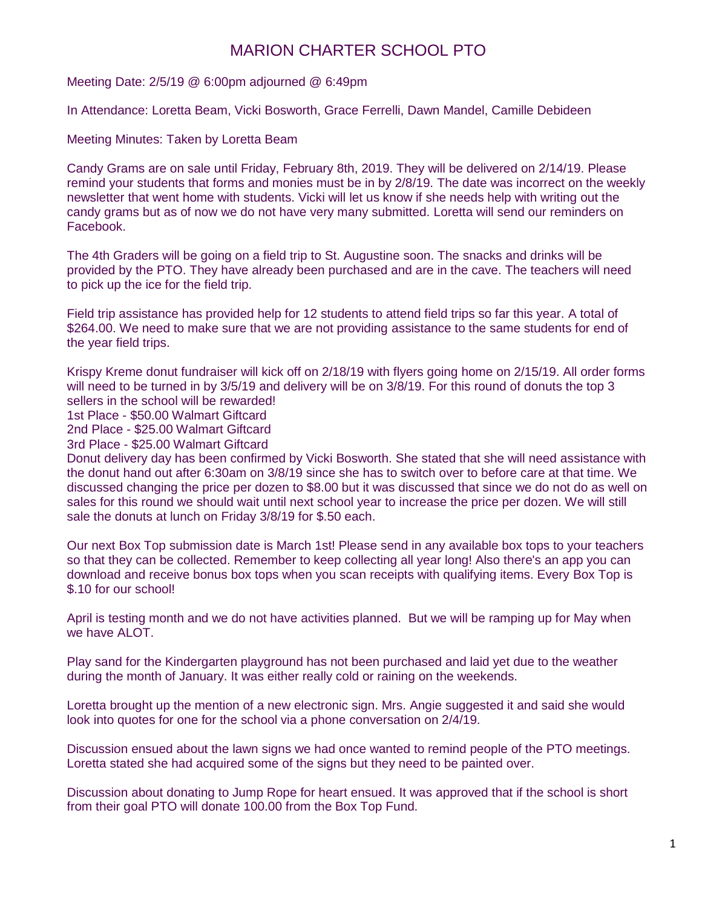## MARION CHARTER SCHOOL PTO

Meeting Date: 2/5/19 @ 6:00pm adjourned @ 6:49pm

In Attendance: Loretta Beam, Vicki Bosworth, Grace Ferrelli, Dawn Mandel, Camille Debideen

Meeting Minutes: Taken by Loretta Beam

Candy Grams are on sale until Friday, February 8th, 2019. They will be delivered on 2/14/19. Please remind your students that forms and monies must be in by 2/8/19. The date was incorrect on the weekly newsletter that went home with students. Vicki will let us know if she needs help with writing out the candy grams but as of now we do not have very many submitted. Loretta will send our reminders on Facebook.

The 4th Graders will be going on a field trip to St. Augustine soon. The snacks and drinks will be provided by the PTO. They have already been purchased and are in the cave. The teachers will need to pick up the ice for the field trip.

Field trip assistance has provided help for 12 students to attend field trips so far this year. A total of \$264.00. We need to make sure that we are not providing assistance to the same students for end of the year field trips.

Krispy Kreme donut fundraiser will kick off on 2/18/19 with flyers going home on 2/15/19. All order forms will need to be turned in by 3/5/19 and delivery will be on 3/8/19. For this round of donuts the top 3 sellers in the school will be rewarded!

1st Place - \$50.00 Walmart Giftcard

2nd Place - \$25.00 Walmart Giftcard

3rd Place - \$25.00 Walmart Giftcard

Donut delivery day has been confirmed by Vicki Bosworth. She stated that she will need assistance with the donut hand out after 6:30am on 3/8/19 since she has to switch over to before care at that time. We discussed changing the price per dozen to \$8.00 but it was discussed that since we do not do as well on sales for this round we should wait until next school year to increase the price per dozen. We will still sale the donuts at lunch on Friday 3/8/19 for \$.50 each.

Our next Box Top submission date is March 1st! Please send in any available box tops to your teachers so that they can be collected. Remember to keep collecting all year long! Also there's an app you can download and receive bonus box tops when you scan receipts with qualifying items. Every Box Top is \$.10 for our school!

April is testing month and we do not have activities planned. But we will be ramping up for May when we have ALOT.

Play sand for the Kindergarten playground has not been purchased and laid yet due to the weather during the month of January. It was either really cold or raining on the weekends.

Loretta brought up the mention of a new electronic sign. Mrs. Angie suggested it and said she would look into quotes for one for the school via a phone conversation on 2/4/19.

Discussion ensued about the lawn signs we had once wanted to remind people of the PTO meetings. Loretta stated she had acquired some of the signs but they need to be painted over.

Discussion about donating to Jump Rope for heart ensued. It was approved that if the school is short from their goal PTO will donate 100.00 from the Box Top Fund.